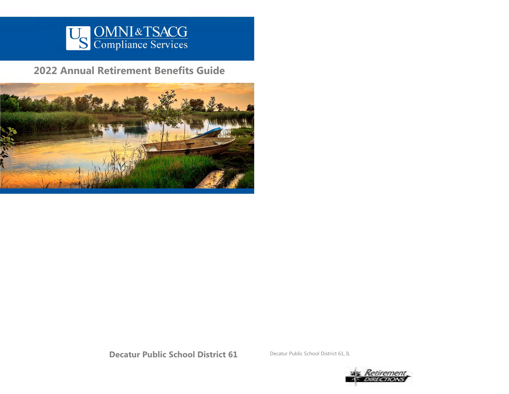

**2022 Annual Retirement Benefits Guide**



**Decatur Public School District 61** Decatur Public School District 61, IL

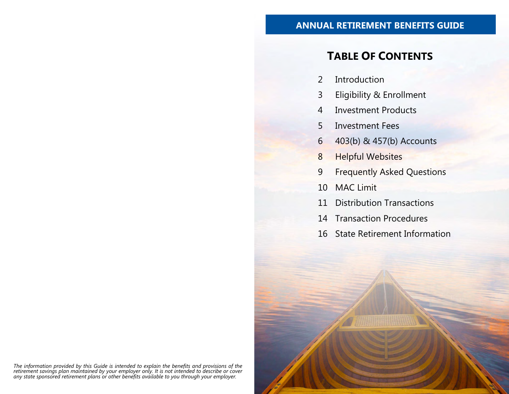## **ANNUAL RETIREMENT BENEFITS GUIDE**

# **TABLE OF CONTENTS**

- 2 Introduction
- 3 Eligibility & Enrollment
- 4 Investment Products
- 5 Investment Fees
- 6 403(b) & 457(b) Accounts
- 8 Helpful Websites
- 9 Frequently Asked Questions
- 10 MAC Limit
- 11 Distribution Transactions
- 14 Transaction Procedures
- 16 State Retirement Information

The information provided by this Guide is intended to explain the benefits and provisions of the<br>retirement savings plan maintained by your employer only. It is not intended to describe or cover<br>any state sponsored retirem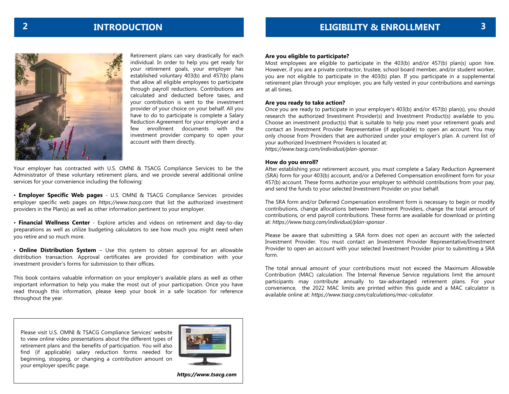

Retirement plans can vary drastically for each individual. In order to help you get ready for your retirement goals, your employer has established voluntary 403(b) and 457(b) plans that allow all eligible employees to participate through payroll reductions. Contributions are calculated and deducted before taxes, and your contribution is sent to the investment provider of your choice on your behalf. All you have to do to participate is complete a Salary Reduction Agreement for your employer and a few enrollment documents with the investment provider company to open your account with them directly.

Your employer has contracted with U.S. OMNI & TSACG Compliance Services to be the Administrator of these voluntary retirement plans, and we provide several additional online services for your convenience including the following:

• **Employer Specific Web pages** - U.S. OMNI & TSACG Compliance Services provides employer specific web pages on *https://www.tsacg.com* that list the authorized investment providers in the Plan(s) as well as other information pertinent to your employer.

• **Financial Wellness Center** - Explore articles and videos on retirement and day-to-day preparations as well as utilize budgeting calculators to see how much you might need when you retire and so much more.

• **Online Distribution System** – Use this system to obtain approval for an allowable distribution transaction. Approval certificates are provided for combination with your investment provider's forms for submission to their offices.

This book contains valuable information on your employer's available plans as well as other important information to help you make the most out of your participation. Once you have read through this information, please keep your book in a safe location for reference throughout the year.

#### **Are you eligible to participate?**

Most employees are eligible to participate in the 403(b) and/or 457(b) plan(s) upon hire. However, if you are a private contractor, trustee, school board member, and/or student worker, you are not eligible to participate in the 403(b) plan. If you participate in a supplemental retirement plan through your employer, you are fully vested in your contributions and earnings at all times.

#### **Are you ready to take action?**

Once you are ready to participate in your employer's 403(b) and/or 457(b) plan(s), you should research the authorized Investment Provider(s) and Investment Product(s) available to you. Choose an investment product(s) that is suitable to help you meet your retirement goals and contact an Investment Provider Representative (if applicable) to open an account. You may only choose from Providers that are authorized under your employer's plan. A current list of your authorized Investment Providers is located at: *https://www.tsacg.com/individual/plan-sponsor.* 

#### **How do you enroll?**

After establishing your retirement account, you must complete a Salary Reduction Agreement (SRA) form for your 403(b) account, and/or a Deferred Compensation enrollment form for your 457(b) account. These forms authorize your employer to withhold contributions from your pay, and send the funds to your selected Investment Provider on your behalf.

The SRA form and/or Deferred Compensation enrollment form is necessary to begin or modify contributions, change allocations between Investment Providers, change the total amount of contributions, or end payroll contributions. These forms are available for download or printing at: *https://www.tsacg.com/individual/plan-sponsor .* 

Please be aware that submitting a SRA form does not open an account with the selected Investment Provider. You must contact an Investment Provider Representative/Investment Provider to open an account with your selected Investment Provider prior to submitting a SRA form.

The total annual amount of your contributions must not exceed the Maximum Allowable Contribution (MAC) calculation. The Internal Revenue Service regulations limit the amount participants may contribute annually to tax-advantaged retirement plans. For your convenience, the 2022 MAC limits are printed within this guide and a MAC calculator is available online at: *https://www.tsacg.com/calculations/mac-calculator.* 

Please visit U.S. OMNI & TSACG Compliance Services' website to view online video presentations about the different types of retirement plans and the benefits of participation. You will also find (if applicable) salary reduction forms needed for beginning, stopping, or changing a contribution amount on your employer specific page.



*https://www.tsacg.com*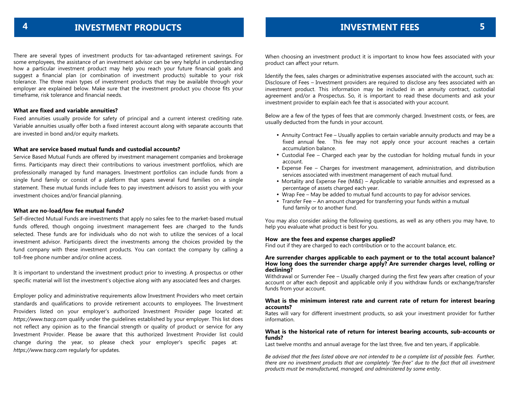There are several types of investment products for tax-advantaged retirement savings. For some employees, the assistance of an investment advisor can be very helpful in understanding how a particular investment product may help you reach your future financial goals and suggest a financial plan (or combination of investment products) suitable to your risk tolerance. The three main types of investment products that may be available through your employer are explained below. Make sure that the investment product you choose fits your timeframe, risk tolerance and financial needs.

#### **What are fixed and variable annuities?**

Fixed annuities usually provide for safety of principal and a current interest crediting rate. Variable annuities usually offer both a fixed interest account along with separate accounts that are invested in bond and/or equity markets.

#### **What are service based mutual funds and custodial accounts?**

Service Based Mutual Funds are offered by investment management companies and brokerage firms. Participants may direct their contributions to various investment portfolios, which are professionally managed by fund managers. Investment portfolios can include funds from a single fund family or consist of a platform that spans several fund families on a single statement. These mutual funds include fees to pay investment advisors to assist you with your investment choices and/or financial planning.

#### **What are no-load/low fee mutual funds?**

Self-directed Mutual Funds are investments that apply no sales fee to the market-based mutual funds offered, though ongoing investment management fees are charged to the funds selected. These funds are for individuals who do not wish to utilize the services of a local investment advisor. Participants direct the investments among the choices provided by the fund company with these investment products. You can contact the company by calling a toll-free phone number and/or online access.

It is important to understand the investment product prior to investing. A prospectus or other specific material will list the investment's objective along with any associated fees and charges.

Employer policy and administrative requirements allow Investment Providers who meet certain standards and qualifications to provide retirement accounts to employees. The Investment Providers listed on your employer's authorized Investment Provider page located at: *https://www.tsacg.com* qualify under the guidelines established by your employer. This list does not reflect any opinion as to the financial strength or quality of product or service for any Investment Provider. Please be aware that this authorized Investment Provider list could change during the year, so please check your employer's specific pages at: *https://www.tsacg.com* regularly for updates.

When choosing an investment product it is important to know how fees associated with your product can affect your return.

Identify the fees, sales charges or administrative expenses associated with the account, such as: Disclosure of Fees – Investment providers are required to disclose any fees associated with an investment product. This information may be included in an annuity contract, custodial agreement and/or a Prospectus. So, it is important to read these documents and ask your investment provider to explain each fee that is associated with your account.

Below are a few of the types of fees that are commonly charged. Investment costs, or fees, are usually deducted from the funds in your account.

- **•** Annuity Contract Fee Usually applies to certain variable annuity products and may be a fixed annual fee. This fee may not apply once your account reaches a certain accumulation balance.
- **•** Custodial Fee Charged each year by the custodian for holding mutual funds in your account.
- **•** Expense Fee Charges for investment management, administration, and distribution services associated with investment management of each mutual fund.
- **•** Mortality and Expense Fee (M&E) Applicable to variable annuities and expressed as a percentage of assets charged each year.
- **•** Wrap Fee May be added to mutual fund accounts to pay for advisor services.
- **•** Transfer Fee An amount charged for transferring your funds within a mutual fund family or to another fund.

You may also consider asking the following questions, as well as any others you may have, to help you evaluate what product is best for you.

#### **How are the fees and expense charges applied?**

Find out if they are charged to each contribution or to the account balance, etc.

#### **Are surrender charges applicable to each payment or to the total account balance? How long does the surrender charge apply? Are surrender charges level, rolling or declining?**

Withdrawal or Surrender Fee – Usually charged during the first few years after creation of your account or after each deposit and applicable only if you withdraw funds or exchange/transfer funds from your account.

#### **What is the minimum interest rate and current rate of return for interest bearing accounts?**

Rates will vary for different investment products, so ask your investment provider for further information.

#### **What is the historical rate of return for interest bearing accounts, sub-accounts or funds?**

Last twelve months and annual average for the last three, five and ten years, if applicable.

*Be advised that the fees listed above are not intended to be a complete list of possible fees. Further, there are no investment products that are completely "fee-free" due to the fact that all investment products must be manufactured, managed, and administered by some entity*.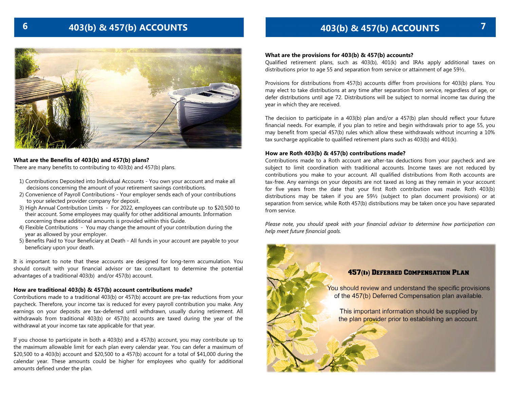# **6 7**



#### **What are the Benefits of a 403(b) Plan?** What are the Benefits of 403(b) and 457(b) plans?<br>—

There are many benefits to contributing to 403(b) and 457(b) plans.

- decisions concerning the amount of your retirement savings contributions. 1) Contributions Deposited into Individual Accounts - You own your account and make all
- 2) Convenience of Payroll Contributions Your employer sends each of your contributions to your selected provider company for deposit.
- 3) High Annual Contribution Limits For 2022, employees can contribute up to \$20,500 to their account. Some employees may qualify for other additional amounts. Information concerning these additional amounts is provided within this Guide.
- 4) Flexible Contributions You may change the amount of your contribution during the year as allowed by your employer.
- 5) Benefits Paid to Your Beneficiary at Death All funds in your account are payable to your beneficiary upon your death.

should consult with your financial advisor or tax consultant to determine the potential advantages of a traditional 403(b)  $\,$  and/or 457(b) account.  $\,$ It is important to note that these accounts are designed for long-term accumulation. You

#### **How are traditional 403(b) & 457(b) account contributions made?**

**How are 403(b) account contributions made?**  Contributions made to a traditional 403(b) or 457(b) account are pre-tax reductions from your paycheck. Therefore, your income tax is reduced for every payroll contribution you make. Any Therefore, your income tax is reduced for every payroll contribution you make. Any earnings earnings on your deposits are tax-deferred until withdrawn, usually during retirement. All  $\omega$  in your deposits are tax-deferred until withdrawn, usual during retirement. All  $\omega$ withdrawals from traditional 403(b) or 457(b) accounts are taxed during the year of the withdrawal at your income tax rate applicable for that year.

If you choose to participate in both a 403(b) and a 457(b) account, you may contribute up to the maximum allowable limit for each plan every calendar year. You can defer a maximum of  $$20,500$  to a 403(b) account and  $$20,500$  to a 457(b) account for a total of  $$41,000$  during the \$20,500 to a 403(b) account and \$20,500 to a 457(b) account for a total of \$41,000 during the<br>calendar year. These amounts could be higher for employees who qualify for additional amounts defined under the plan. The date that you first Rothers Rothers Rothers Rothers Rothers Rothers Rothers

## **403(b) & 457(b) ACCOUNTS 403(b) & 457(b) ACCOUNTS**

#### **What are the provisions for 403(b) & 457(b) accounts?**

Qualified retirement plans, such as 403(b), 401(k) and IRAs apply additional taxes on distributions prior to age 55 and separation from service or attainment of age  $59\frac{1}{2}$ .

Provisions for distributions from 457(b) accounts differ from provisions for 403(b) plans. You may elect to take distributions at any time after separation from service, regardless of age, or defer distributions until age 72. Distributions will be subject to normal income tax during the year in which they are received.

The decision to participate in a 403(b) plan and/or a 457(b) plan should reflect your future financial needs. For example, if you plan to retire and begin withdrawals prior to age 55, you may benefit from special 457(b) rules which allow these withdrawals without incurring a 10% tax surcharge applicable to qualified retirement plans such as 403(b) and 401(k).

#### **How are Roth 403(b) & 457(b) contributions made?**

Contributions made to a Roth account are after-tax deductions from your paycheck and are subject to limit coordination with traditional accounts. Income taxes are not reduced by contributions you make to your account. All qualified distributions from Roth accounts are tax-free. Any earnings on your deposits are not taxed as long as they remain in your account for five years from the date that your first Roth contribution was made. Roth 403(b) distributions may be taken if you are 59½ (subject to plan document provisions) or at separation from service, while Roth 457(b) distributions may be taken once you have separated from service.

*Please note, you should speak with your financial advisor to determine how participation can help meet future financial goals.*

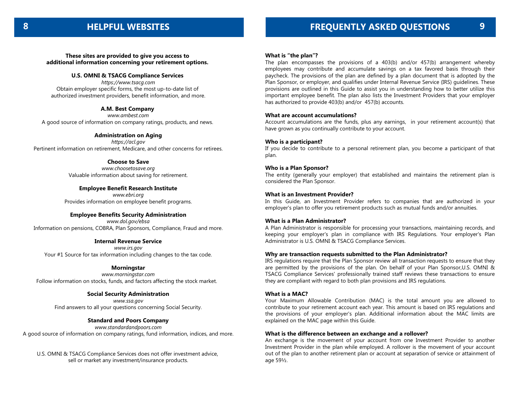**These sites are provided to give you access to additional information concerning your retirement options.** 

#### **U.S. OMNI & TSACG Compliance Services**

*https://www.tsacg.com* Obtain employer specific forms, the most up-to-date list of authorized investment providers, benefit information, and more.

### **A.M. Best Company**

*www.ambest.com* A good source of information on company ratings, products, and news.

**Administration on Aging** *https://acl.gov* Pertinent information on retirement, Medicare, and other concerns for retirees.

> **Choose to Save** *www.choosetosave.org* Valuable information about saving for retirement.

**Employee Benefit Research Institute** *www.ebri.org* Provides information on employee benefit programs.

#### **Employee Benefits Security Administration**

*www.dol.gov/ebsa* Information on pensions, COBRA, Plan Sponsors, Compliance, Fraud and more.

#### **Internal Revenue Service**

*www.irs.gov* Your #1 Source for tax information including changes to the tax code.

#### **Morningstar**

*www.morningstar.com* Follow information on stocks, funds, and factors affecting the stock market.

#### **Social Security Administration**

*www.ssa.gov* Find answers to all your questions concerning Social Security.

#### **Standard and Poors Company**

*www.standardandpoors.com*

A good source of information on company ratings, fund information, indices, and more.

U.S. OMNI & TSACG Compliance Services does not offer investment advice, sell or market any investment/insurance products.

#### **What is "the plan"?**

The plan encompasses the provisions of a 403(b) and/or 457(b) arrangement whereby employees may contribute and accumulate savings on a tax favored basis through their paycheck. The provisions of the plan are defined by a plan document that is adopted by the Plan Sponsor, or employer, and qualifies under Internal Revenue Service (IRS) guidelines. These provisions are outlined in this Guide to assist you in understanding how to better utilize this important employee benefit. The plan also lists the Investment Providers that your employer has authorized to provide 403(b) and/or 457(b) accounts.

#### **What are account accumulations?**

Account accumulations are the funds, plus any earnings, in your retirement account(s) that have grown as you continually contribute to your account.

#### **Who is a participant?**

If you decide to contribute to a personal retirement plan, you become a participant of that plan.

#### **Who is a Plan Sponsor?**

The entity (generally your employer) that established and maintains the retirement plan is considered the Plan Sponsor.

#### **What is an Investment Provider?**

In this Guide, an Investment Provider refers to companies that are authorized in your employer's plan to offer you retirement products such as mutual funds and/or annuities.

#### **What is a Plan Administrator?**

A Plan Administrator is responsible for processing your transactions, maintaining records, and keeping your employer's plan in compliance with IRS Regulations. Your employer's Plan Administrator is U.S. OMNI & TSACG Compliance Services.

#### **Why are transaction requests submitted to the Plan Administrator?**

IRS regulations require that the Plan Sponsor review all transaction requests to ensure that they are permitted by the provisions of the plan. On behalf of your Plan Sponsor,U.S. OMNI & TSACG Compliance Services' professionally trained staff reviews these transactions to ensure they are compliant with regard to both plan provisions and IRS regulations.

#### **What is a MAC?**

Your Maximum Allowable Contribution (MAC) is the total amount you are allowed to contribute to your retirement account each year. This amount is based on IRS regulations and the provisions of your employer's plan. Additional information about the MAC limits are explained on the MAC page within this Guide.

#### **What is the difference between an exchange and a rollover?**

An exchange is the movement of your account from one Investment Provider to another Investment Provider in the plan while employed. A rollover is the movement of your account out of the plan to another retirement plan or account at separation of service or attainment of age 59½.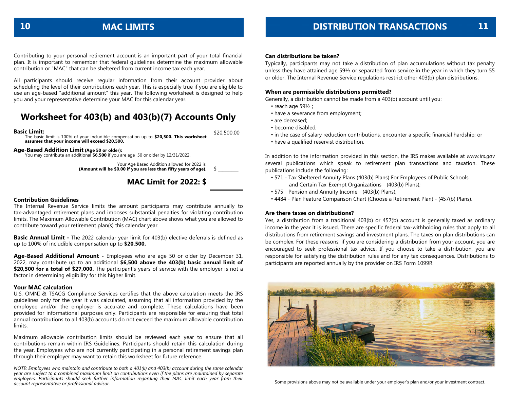contribution or "MAC" that can be sheltered from current income tax each year. Contributing to your personal retirement account is an important part of your total financial plan. It is important to remember that federal guidelines determine the maximum allowable

scheduling the level of their contributions each year. This is especially true if you are eligible to use an age-based "additional amount" this year. The following worksheet is designed to help All participants should receive regular information from their account provider about you and your representative determine your MAC for this calendar year.

## Worksheet for 403(b) and 403(b)(7) Accounts Only

## **Basic Limit:**

The basic limit is 100% of your includible compensation up to  $$20,500$ . assumes that your income will exceed \$20,500. The basic limit is 100% of your includible compensation up to **\$20,500. This worksheet assumes that your income will exceed \$20,500.**

#### **Age-Based Addition Limit** (Age 50 or older):

You may contribute an additional **\$6,500** if you are age 50 or older by 12/31/2022.

Your Age Based Addition allowed for 2022 is: (Amount will be \$0.00 if you are less than fifty years of age).  $\quad \mathsf{\$} \_\_$ 

#### **CONTRIBUTE UP TO A ADDITIONAL \$6,500 ADDITIONAL \$6,500 ADDITIONAL \$6,500 ADDITIONAL \$6,500 ADDITIONAL \$6,500**  $\overline{157}$

#### **Contribution Guidelines**

contribute toward your retirement plan(s) this calendar year. The Internal Revenue Service limits the amount participants may contribute annually to tax-advantaged retirement plans and imposes substantial penalties for violating contribution limits. The Maximum Allowable Contribution (MAC) chart above shows what you are allowed to

**Contribution Accounting Formula Basic Annual Limit -** The 2022 calendar year limit for 403(b) elective deferrals is defined as up to 100% of includible compensation up to **\$20,500.** 

2022, may contribute up to an additional **\$6,500 above the 403(b) basic annual limit of** \$20,500 for a total of \$27,000. The participant's years of service with the employer is not a factor in determining eligibility for this higher limit. **Age-Based Additional Amount -** Employees who are age 50 or older by December 31,

#### **Your MAC calculation**

U.S. OMNI & TSACG Compliance Services certifies that the above calculation meets the IRS guidelines only for the year it was calculated, assuming that all information provided by the provided for informational purposes only. Participants are responsible for ensuring that total annual contributions to all 403(b) accounts do not exceed the maximum allowable contribution  $t$  this works  $\mathbf{r}$  function  $\mathbf{r}$  function  $\mathbf{r}$  function  $\mathbf{r}$  function  $\mathbf{r}$ employee and/or the employer is accurate and complete. These calculations have been limits.

*NOTE: Employees who maintain and contribute to both a 401(k) and 403(b) account during the same* contributions remain within IRS Guidelines. Participants should retain this calculation during *calendar year are subject to a combined maximum limit on contributions even if the plans are maintained by separate employers. Participants should seek further information regarding their MAC* the year. Employees who are not currently participating in a personal retirement savings plan *limit each year from their account representative or professional advisor.* through their employer may want to retain this worksheet for future reference. Maximum allowable contribution limits should be reviewed each year to ensure that all

*NOTE: Employees who maintain and contribute to both a 401(k) and 403(b) account during the same calendar year are subject to a combined maximum limit on contributions even if the plans are maintained by separate employers. Participants should seek further information regarding their MAC limit each year from their account representative or professional advisor.*

#### **Can distributions be taken?**

Typically, participants may not take a distribution of plan accumulations without tax penalty unless they have attained age 59½ or separated from service in the year in which they turn 55 or older. The Internal Revenue Service regulations restrict other 403(b) plan distributions.

#### **When are permissible distributions permitted?**

Generally, a distribution cannot be made from a 403(b) account until you:

- reach age 59½ ;
- have a severance from employment;
- are deceased;
- become disabled;
- in the case of salary reduction contributions, encounter a specific financial hardship; or
- have a qualified reservist distribution.

In addition to the information provided in this section, the IRS makes available at *www.irs.gov* several publications which speak to retirement plan transactions and taxation. These publications include the following:

- 571 Tax Sheltered Annuity Plans (403(b) Plans) For Employees of Public Schools and Certain Tax-Exempt Organizations - (403(b) Plans);
- 575 Pension and Annuity Income (403(b) Plans);
- 4484 Plan Feature Comparison Chart (Choose a Retirement Plan) (457(b) Plans).

#### **Are there taxes on distributions?**

Yes, a distribution from a traditional 403(b) or 457(b) account is generally taxed as ordinary income in the year it is issued. There are specific federal tax-withholding rules that apply to all distributions from retirement savings and investment plans. The taxes on plan distributions can be complex. For these reasons, if you are considering a distribution from your account, you are encouraged to seek professional tax advice. If you choose to take a distribution, you are responsible for satisfying the distribution rules and for any tax consequences. Distributions to participants are reported annually by the provider on IRS Form 1099R.



\$20,500.00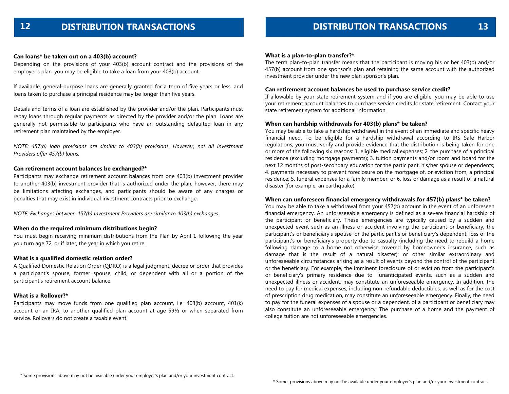#### **Can loans\* be taken out on a 403(b) account?**

Depending on the provisions of your 403(b) account contract and the provisions of the employer's plan, you may be eligible to take a loan from your 403(b) account.

If available, general-purpose loans are generally granted for a term of five years or less, and loans taken to purchase a principal residence may be longer than five years.

Details and terms of a loan are established by the provider and/or the plan. Participants must repay loans through regular payments as directed by the provider and/or the plan. Loans are generally not permissible to participants who have an outstanding defaulted loan in any retirement plan maintained by the employer.

*NOTE: 457(b) loan provisions are similar to 403(b) provisions. However, not all Investment Providers offer 457(b) loans.*

#### **Can retirement account balances be exchanged?\***

Participants may exchange retirement account balances from one 403(b) investment provider to another 403(b) investment provider that is authorized under the plan; however, there may be limitations affecting exchanges, and participants should be aware of any charges or penalties that may exist in individual investment contracts prior to exchange.

*NOTE: Exchanges between 457(b) Investment Providers are similar to 403(b) exchanges.* 

#### **When do the required minimum distributions begin?**

You must begin receiving minimum distributions from the Plan by April 1 following the year you turn age 72, or if later, the year in which you retire.

#### **What is a qualified domestic relation order?**

A Qualified Domestic Relation Order (QDRO) is a legal judgment, decree or order that provides a participant's spouse, former spouse, child, or dependent with all or a portion of the participant's retirement account balance.

#### **What is a Rollover?\***

Participants may move funds from one qualified plan account, i.e. 403(b) account, 401(k) account or an IRA, to another qualified plan account at age 59½ or when separated from service. Rollovers do not create a taxable event.

#### **What is a plan-to-plan transfer?\***

The term plan-to-plan transfer means that the participant is moving his or her 403(b) and/or 457(b) account from one sponsor's plan and retaining the same account with the authorized investment provider under the new plan sponsor's plan.

#### **Can retirement account balances be used to purchase service credit?**

If allowable by your state retirement system and if you are eligible, you may be able to use your retirement account balances to purchase service credits for state retirement. Contact your state retirement system for additional information.

#### **When can hardship withdrawals for 403(b) plans\* be taken?**

You may be able to take a hardship withdrawal in the event of an immediate and specific heavy financial need. To be eligible for a hardship withdrawal according to IRS Safe Harbor regulations, you must verify and provide evidence that the distribution is being taken for one or more of the following six reasons: 1. eligible medical expenses; 2. the purchase of a principal residence (excluding mortgage payments); 3. tuition payments and/or room and board for the next 12 months of post-secondary education for the participant, his/her spouse or dependents; 4. payments necessary to prevent foreclosure on the mortgage of, or eviction from, a principal residence; 5. funeral expenses for a family member; or 6. loss or damage as a result of a natural disaster (for example, an earthquake).

#### **When can unforeseen financial emergency withdrawals for 457(b) plans\* be taken?**

You may be able to take a withdrawal from your 457(b) account in the event of an unforeseen financial emergency. An unforeseeable emergency is defined as a severe financial hardship of the participant or beneficiary. These emergencies are typically caused by a sudden and unexpected event such as an illness or accident involving the participant or beneficiary, the participant's or beneficiary's spouse, or the participant's or beneficiary's dependent; loss of the participant's or beneficiary's property due to casualty (including the need to rebuild a home following damage to a home not otherwise covered by homeowner's insurance, such as damage that is the result of a natural disaster); or other similar extraordinary and unforeseeable circumstances arising as a result of events beyond the control of the participant or the beneficiary. For example, the imminent foreclosure of or eviction from the participant's or beneficiary's primary residence due to unanticipated events, such as a sudden and unexpected illness or accident, may constitute an unforeseeable emergency. In addition, the need to pay for medical expenses, including non-refundable deductibles, as well as for the cost of prescription drug medication, may constitute an unforeseeable emergency. Finally, the need to pay for the funeral expenses of a spouse or a dependent, of a participant or beneficiary may also constitute an unforeseeable emergency. The purchase of a home and the payment of college tuition are not unforeseeable emergencies.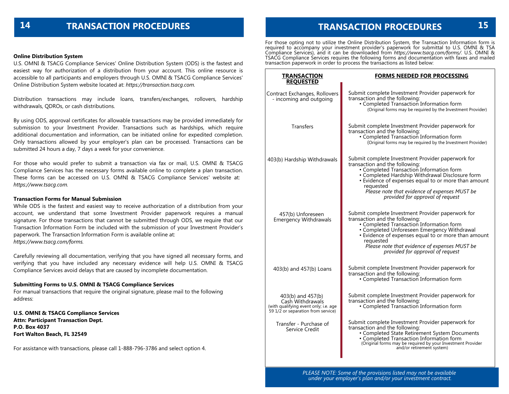## **TRANSACTION PROCEDURES 15**

#### **Online Distribution System**

U.S. OMNI & TSACG Compliance Services' Online Distribution System (ODS) is the fastest and easiest way for authorization of a distribution from your account. This online resource is accessible to all participants and employers through U.S. OMNI & TSACG Compliance Services' Online Distribution System website located at: *https://transaction.tsacg.com.*

Distribution transactions may include loans, transfers/exchanges, rollovers, hardship withdrawals, QDROs, or cash distributions.

By using ODS, approval certificates for allowable transactions may be provided immediately for submission to your Investment Provider. Transactions such as hardships, which require additional documentation and information, can be initiated online for expedited completion. Only transactions allowed by your employer's plan can be processed. Transactions can be submitted 24 hours a day, 7 days a week for your convenience.

For those who would prefer to submit a transaction via fax or mail, U.S. OMNI & TSACG Compliance Services has the necessary forms available online to complete a plan transaction. These forms can be accessed on U.S. OMNI & TSACG Compliance Services' website at: *https://www.tsacg.com.*

#### **Transaction Forms for Manual Submission**

While ODS is the fastest and easiest way to receive authorization of a distribution from your account, we understand that some Investment Provider paperwork requires a manual signature. For those transactions that cannot be submitted through ODS, we require that our Transaction Information Form be included with the submission of your Investment Provider's paperwork. The Transaction Information Form is available online at: *https://www.tsacg.com/forms.*

Carefully reviewing all documentation, verifying that you have signed all necessary forms, and verifying that you have included any necessary evidence will help U.S. OMNI & TSACG Compliance Services avoid delays that are caused by incomplete documentation.

#### **Submitting Forms to U.S. OMNI & TSACG Compliance Services**

For manual transactions that require the original signature, please mail to the following address:

**U.S. OMNI & TSACG Compliance Services Attn: Participant Transaction Dept. P.O. Box 4037 Fort Walton Beach, FL 32549**

For assistance with transactions, please call 1-888-796-3786 and select option 4.

For those opting not to utilize the Online Distribution System, the Transaction Information form is required to accompany your investment provider's paperwork for submittal to U.S. OMNI & TSA Compliance Services), and it can be downloaded from *https://www.tsacg.com/forms/.* U.S. OMNI & TSACG Compliance Services requires the following forms and documentation with faxes and mailed transaction paperwork in order to process the transactions as listed below:

| <b>TRANSACTION</b><br><b>REOUESTED</b>                                                                               | FORMS NEEDED FOR PROCESSING                                                                                                                                                                                                                                                                                                                 |
|----------------------------------------------------------------------------------------------------------------------|---------------------------------------------------------------------------------------------------------------------------------------------------------------------------------------------------------------------------------------------------------------------------------------------------------------------------------------------|
| Contract Exchanges, Rollovers<br>- incoming and outgoing                                                             | Submit complete Investment Provider paperwork for<br>transaction and the following:<br>• Completed Transaction Information form<br>(Original forms may be required by the Investment Provider)                                                                                                                                              |
| <b>Transfers</b>                                                                                                     | Submit complete Investment Provider paperwork for<br>transaction and the following:<br>• Completed Transaction Information form<br>(Original forms may be required by the Investment Provider)                                                                                                                                              |
| 403(b) Hardship Withdrawals                                                                                          | Submit complete Investment Provider paperwork for<br>transaction and the following:<br>• Completed Transaction Information form<br>• Completed Hardship Withdrawal Disclosure form<br>• Evidence of expenses equal to or more than amount<br>requested<br>Please note that evidence of expenses MUST be<br>provided for approval of request |
| 457(b) Unforeseen<br><b>Emergency Withdrawals</b>                                                                    | Submit complete Investment Provider paperwork for<br>transaction and the following:<br>• Completed Transaction Information form<br>· Completed Unforeseen Emergency Withdrawal<br>• Evidence of expenses equal to or more than amount<br>requested<br>Please note that evidence of expenses MUST be<br>provided for approval of request     |
| 403(b) and 457(b) Loans                                                                                              | Submit complete Investment Provider paperwork for<br>transaction and the following:<br>• Completed Transaction Information form                                                                                                                                                                                                             |
| 403(b) and 457(b)<br>Cash Withdrawals<br>(with qualifying event only; i.e. age<br>59 1/2 or separation from service) | Submit complete Investment Provider paperwork for<br>transaction and the following:<br>• Completed Transaction Information form                                                                                                                                                                                                             |
| Transfer - Purchase of<br>Service Credit                                                                             | Submit complete Investment Provider paperwork for<br>transaction and the following:<br>• Completed State Retirement System Documents<br>• Completed Transaction Information form<br>(Original forms may be required by your Investment Provider<br>and/or retirement system)                                                                |